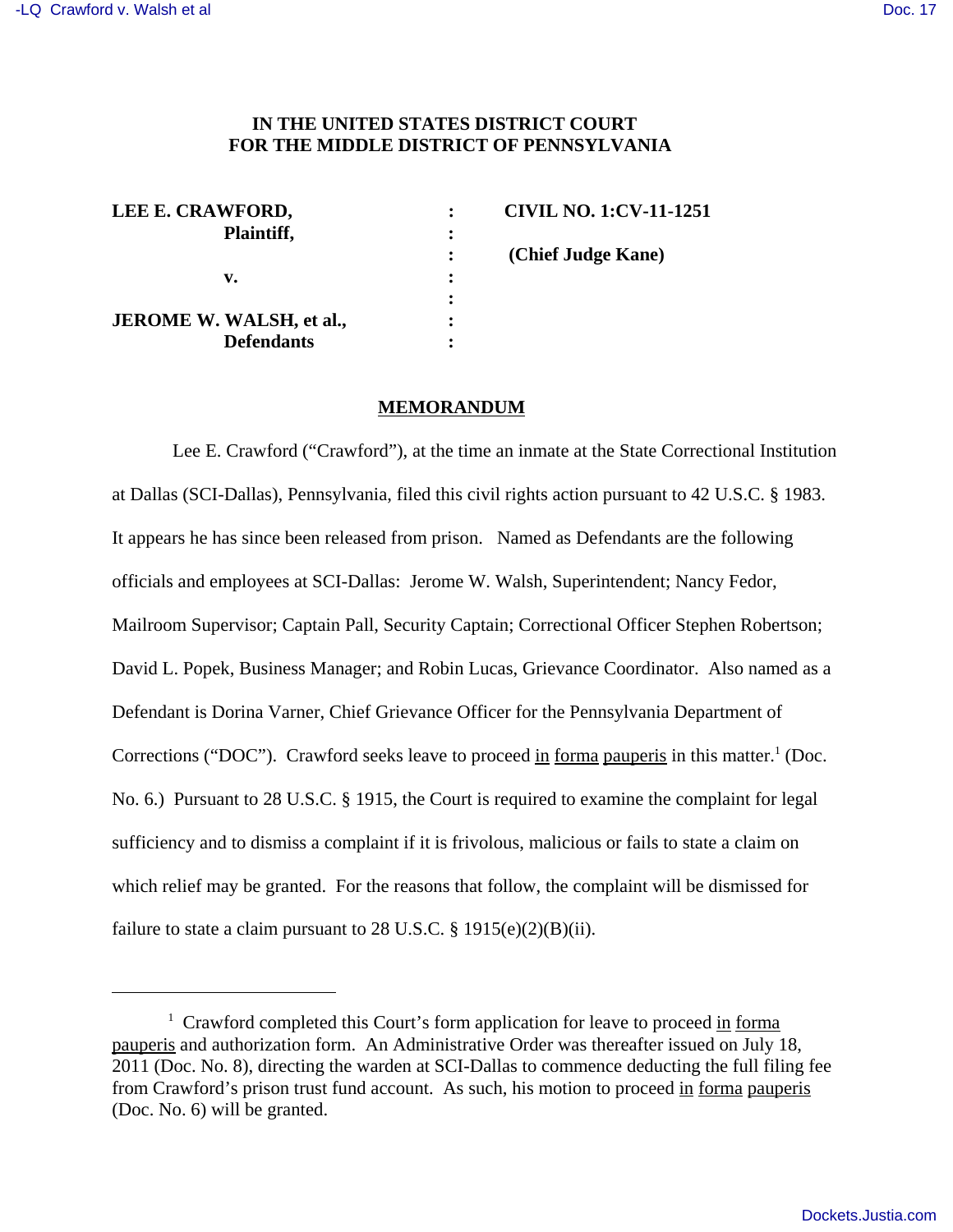## **IN THE UNITED STATES DISTRICT COURT FOR THE MIDDLE DISTRICT OF PENNSYLVANIA**

| LEE E. CRAWFORD,                |   | <b>CIVIL NO. 1:CV-11-1251</b> |
|---------------------------------|---|-------------------------------|
| Plaintiff,                      | ፡ |                               |
|                                 |   | (Chief Judge Kane)            |
| v.                              | ٠ |                               |
|                                 |   |                               |
| <b>JEROME W. WALSH, et al.,</b> |   |                               |
| <b>Defendants</b>               |   |                               |

#### **MEMORANDUM**

 Lee E. Crawford ("Crawford"), at the time an inmate at the State Correctional Institution at Dallas (SCI-Dallas), Pennsylvania, filed this civil rights action pursuant to 42 U.S.C. § 1983. It appears he has since been released from prison. Named as Defendants are the following officials and employees at SCI-Dallas: Jerome W. Walsh, Superintendent; Nancy Fedor, Mailroom Supervisor; Captain Pall, Security Captain; Correctional Officer Stephen Robertson; David L. Popek, Business Manager; and Robin Lucas, Grievance Coordinator. Also named as a Defendant is Dorina Varner, Chief Grievance Officer for the Pennsylvania Department of Corrections ("DOC"). Crawford seeks leave to proceed in forma pauperis in this matter.<sup>1</sup> (Doc. No. 6.) Pursuant to 28 U.S.C. § 1915, the Court is required to examine the complaint for legal sufficiency and to dismiss a complaint if it is frivolous, malicious or fails to state a claim on which relief may be granted. For the reasons that follow, the complaint will be dismissed for failure to state a claim pursuant to 28 U.S.C.  $\S 1915(e)(2)(B)(ii)$ .

<sup>&</sup>lt;sup>1</sup> Crawford completed this Court's form application for leave to proceed in forma pauperis and authorization form. An Administrative Order was thereafter issued on July 18, 2011 (Doc. No. 8), directing the warden at SCI-Dallas to commence deducting the full filing fee from Crawford's prison trust fund account. As such, his motion to proceed in forma pauperis (Doc. No. 6) will be granted.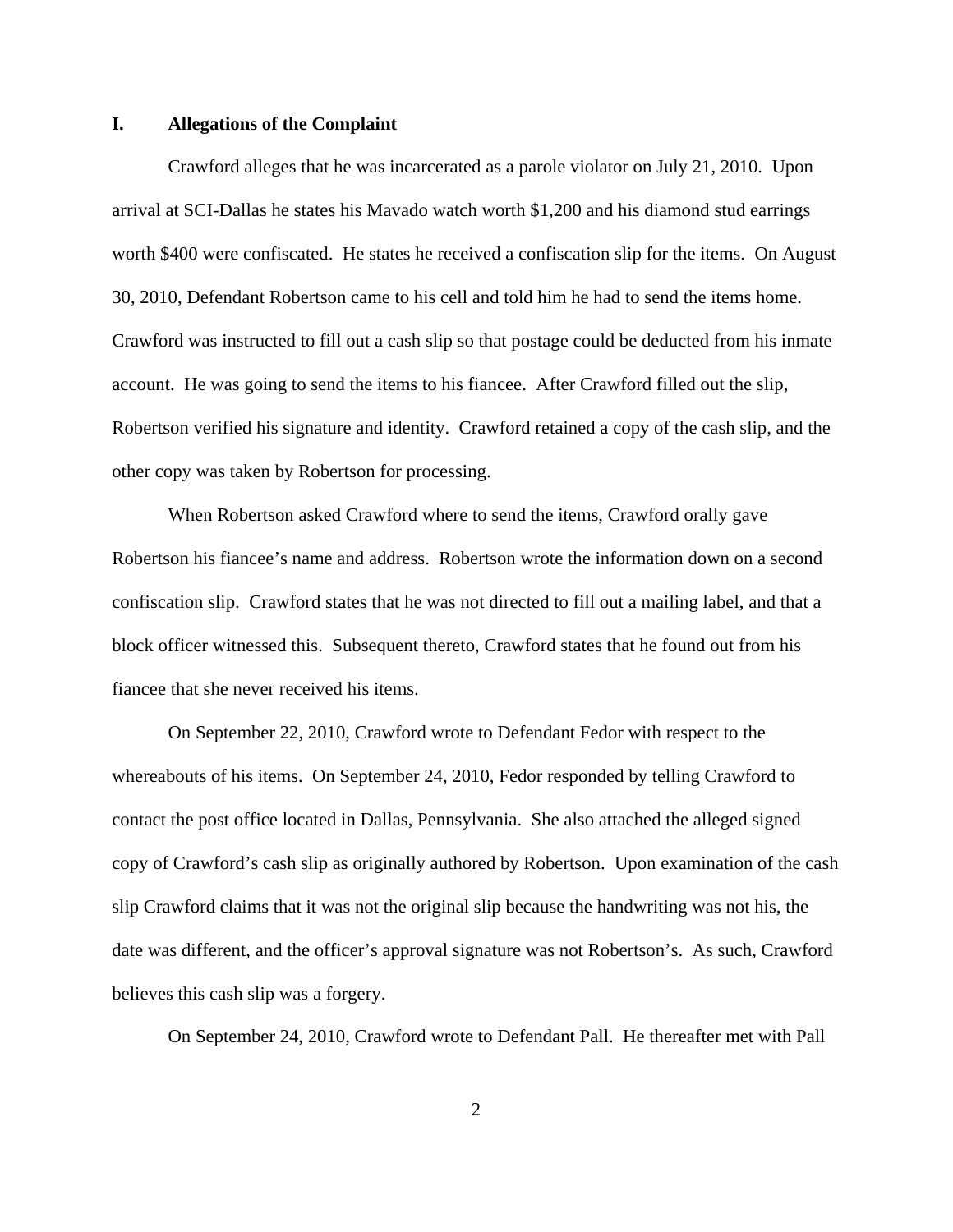#### **I. Allegations of the Complaint**

Crawford alleges that he was incarcerated as a parole violator on July 21, 2010. Upon arrival at SCI-Dallas he states his Mavado watch worth \$1,200 and his diamond stud earrings worth \$400 were confiscated. He states he received a confiscation slip for the items. On August 30, 2010, Defendant Robertson came to his cell and told him he had to send the items home. Crawford was instructed to fill out a cash slip so that postage could be deducted from his inmate account. He was going to send the items to his fiancee. After Crawford filled out the slip, Robertson verified his signature and identity. Crawford retained a copy of the cash slip, and the other copy was taken by Robertson for processing.

When Robertson asked Crawford where to send the items, Crawford orally gave Robertson his fiancee's name and address. Robertson wrote the information down on a second confiscation slip. Crawford states that he was not directed to fill out a mailing label, and that a block officer witnessed this. Subsequent thereto, Crawford states that he found out from his fiancee that she never received his items.

On September 22, 2010, Crawford wrote to Defendant Fedor with respect to the whereabouts of his items. On September 24, 2010, Fedor responded by telling Crawford to contact the post office located in Dallas, Pennsylvania. She also attached the alleged signed copy of Crawford's cash slip as originally authored by Robertson. Upon examination of the cash slip Crawford claims that it was not the original slip because the handwriting was not his, the date was different, and the officer's approval signature was not Robertson's. As such, Crawford believes this cash slip was a forgery.

On September 24, 2010, Crawford wrote to Defendant Pall. He thereafter met with Pall

2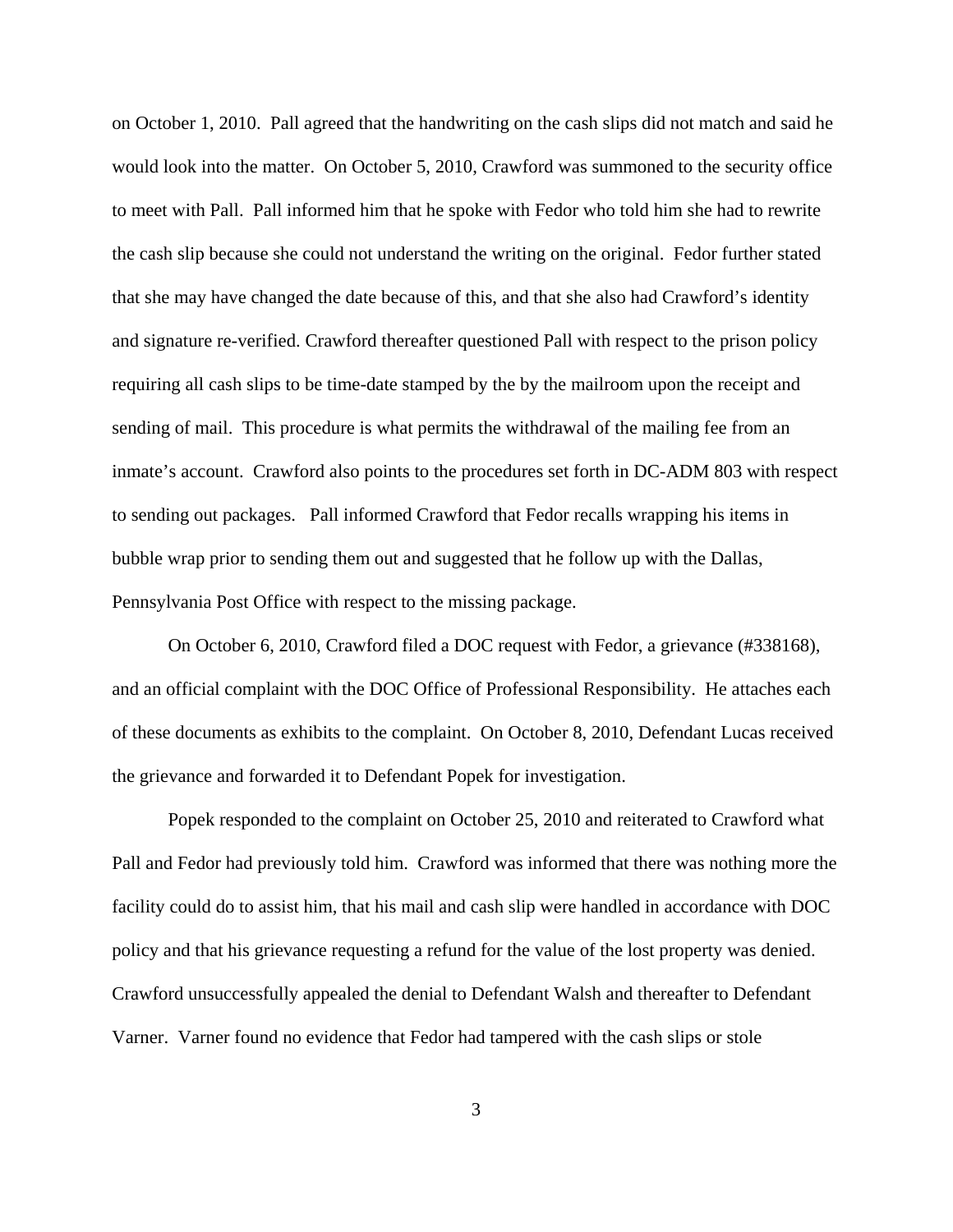on October 1, 2010. Pall agreed that the handwriting on the cash slips did not match and said he would look into the matter. On October 5, 2010, Crawford was summoned to the security office to meet with Pall. Pall informed him that he spoke with Fedor who told him she had to rewrite the cash slip because she could not understand the writing on the original. Fedor further stated that she may have changed the date because of this, and that she also had Crawford's identity and signature re-verified. Crawford thereafter questioned Pall with respect to the prison policy requiring all cash slips to be time-date stamped by the by the mailroom upon the receipt and sending of mail. This procedure is what permits the withdrawal of the mailing fee from an inmate's account. Crawford also points to the procedures set forth in DC-ADM 803 with respect to sending out packages. Pall informed Crawford that Fedor recalls wrapping his items in bubble wrap prior to sending them out and suggested that he follow up with the Dallas, Pennsylvania Post Office with respect to the missing package.

On October 6, 2010, Crawford filed a DOC request with Fedor, a grievance (#338168), and an official complaint with the DOC Office of Professional Responsibility. He attaches each of these documents as exhibits to the complaint.On October 8, 2010, Defendant Lucas received the grievance and forwarded it to Defendant Popek for investigation.

Popek responded to the complaint on October 25, 2010 and reiterated to Crawford what Pall and Fedor had previously told him. Crawford was informed that there was nothing more the facility could do to assist him, that his mail and cash slip were handled in accordance with DOC policy and that his grievance requesting a refund for the value of the lost property was denied. Crawford unsuccessfully appealed the denial to Defendant Walsh and thereafter to Defendant Varner. Varner found no evidence that Fedor had tampered with the cash slips or stole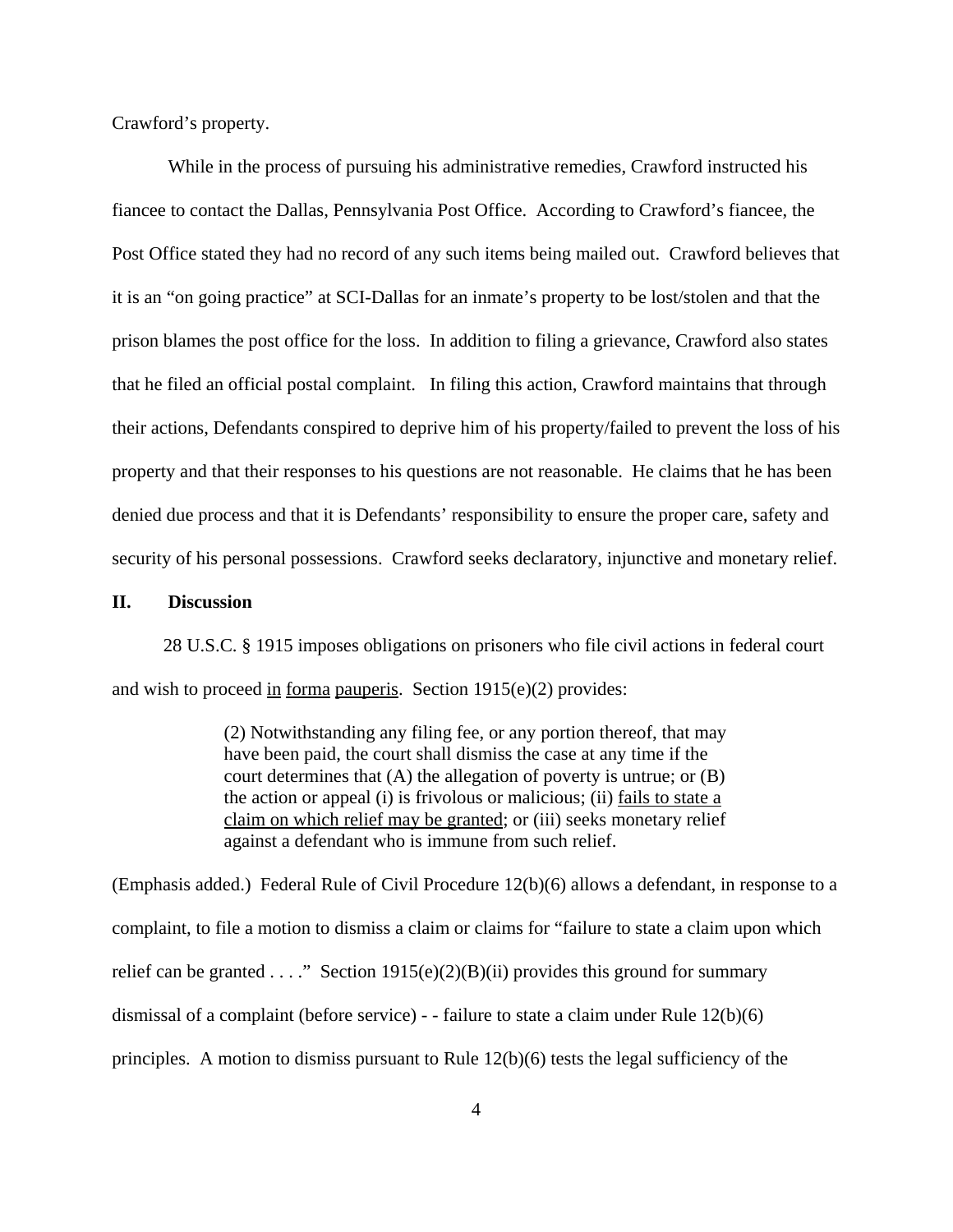Crawford's property.

While in the process of pursuing his administrative remedies, Crawford instructed his fiancee to contact the Dallas, Pennsylvania Post Office. According to Crawford's fiancee, the Post Office stated they had no record of any such items being mailed out. Crawford believes that it is an "on going practice" at SCI-Dallas for an inmate's property to be lost/stolen and that the prison blames the post office for the loss. In addition to filing a grievance, Crawford also states that he filed an official postal complaint. In filing this action, Crawford maintains that through their actions, Defendants conspired to deprive him of his property/failed to prevent the loss of his property and that their responses to his questions are not reasonable. He claims that he has been denied due process and that it is Defendants' responsibility to ensure the proper care, safety and security of his personal possessions. Crawford seeks declaratory, injunctive and monetary relief.

### **II. Discussion**

 28 U.S.C. § 1915 imposes obligations on prisoners who file civil actions in federal court and wish to proceed in forma pauperis. Section 1915(e)(2) provides:

> (2) Notwithstanding any filing fee, or any portion thereof, that may have been paid, the court shall dismiss the case at any time if the court determines that (A) the allegation of poverty is untrue; or (B) the action or appeal (i) is frivolous or malicious; (ii) fails to state a claim on which relief may be granted; or (iii) seeks monetary relief against a defendant who is immune from such relief.

(Emphasis added.) Federal Rule of Civil Procedure 12(b)(6) allows a defendant, in response to a complaint, to file a motion to dismiss a claim or claims for "failure to state a claim upon which relief can be granted . . . ." Section 1915(e)(2)(B)(ii) provides this ground for summary dismissal of a complaint (before service) - - failure to state a claim under Rule 12(b)(6) principles. A motion to dismiss pursuant to Rule 12(b)(6) tests the legal sufficiency of the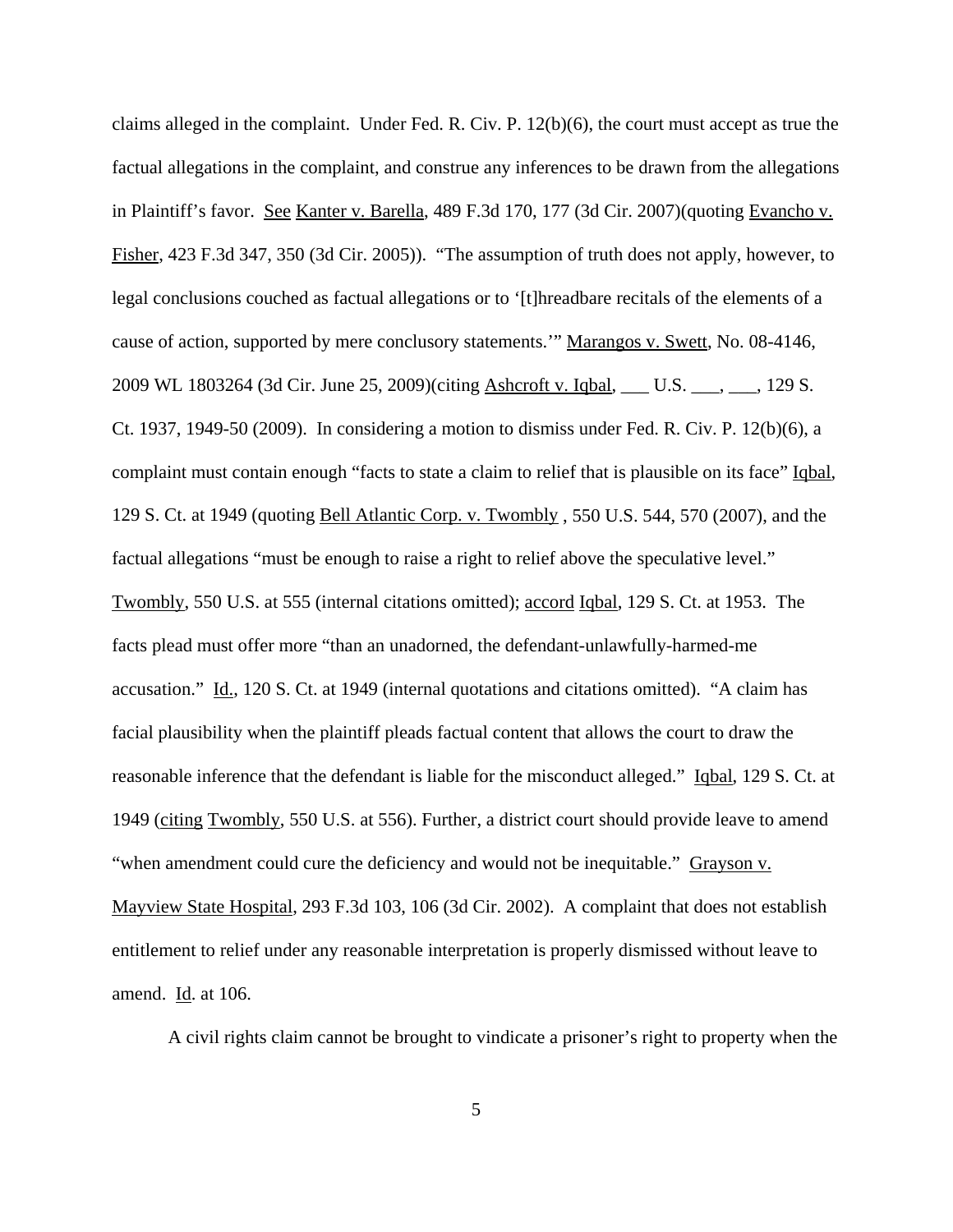claims alleged in the complaint. Under Fed. R. Civ. P.  $12(b)(6)$ , the court must accept as true the factual allegations in the complaint, and construe any inferences to be drawn from the allegations in Plaintiff's favor. See Kanter v. Barella, 489 F.3d 170, 177 (3d Cir. 2007) (quoting Evancho v. Fisher, 423 F.3d 347, 350 (3d Cir. 2005)). "The assumption of truth does not apply, however, to legal conclusions couched as factual allegations or to '[t]hreadbare recitals of the elements of a cause of action, supported by mere conclusory statements.'" Marangos v. Swett, No. 08-4146, 2009 WL 1803264 (3d Cir. June 25, 2009)(citing Ashcroft v. Iqbal, \_\_\_ U.S. \_\_\_, \_\_\_, 129 S. Ct. 1937, 1949-50 (2009). In considering a motion to dismiss under Fed. R. Civ. P. 12(b)(6), a complaint must contain enough "facts to state a claim to relief that is plausible on its face" Iqbal, 129 S. Ct. at 1949 (quoting Bell Atlantic Corp. v. Twombly , 550 U.S. 544, 570 (2007), and the factual allegations "must be enough to raise a right to relief above the speculative level." Twombly, 550 U.S. at 555 (internal citations omitted); accord Iqbal, 129 S. Ct. at 1953. The facts plead must offer more "than an unadorned, the defendant-unlawfully-harmed-me accusation." Id., 120 S. Ct. at 1949 (internal quotations and citations omitted). "A claim has facial plausibility when the plaintiff pleads factual content that allows the court to draw the reasonable inference that the defendant is liable for the misconduct alleged." Iqbal, 129 S. Ct. at 1949 (citing Twombly, 550 U.S. at 556). Further, a district court should provide leave to amend "when amendment could cure the deficiency and would not be inequitable." Grayson v. Mayview State Hospital, 293 F.3d 103, 106 (3d Cir. 2002). A complaint that does not establish entitlement to relief under any reasonable interpretation is properly dismissed without leave to amend. Id. at 106.

A civil rights claim cannot be brought to vindicate a prisoner's right to property when the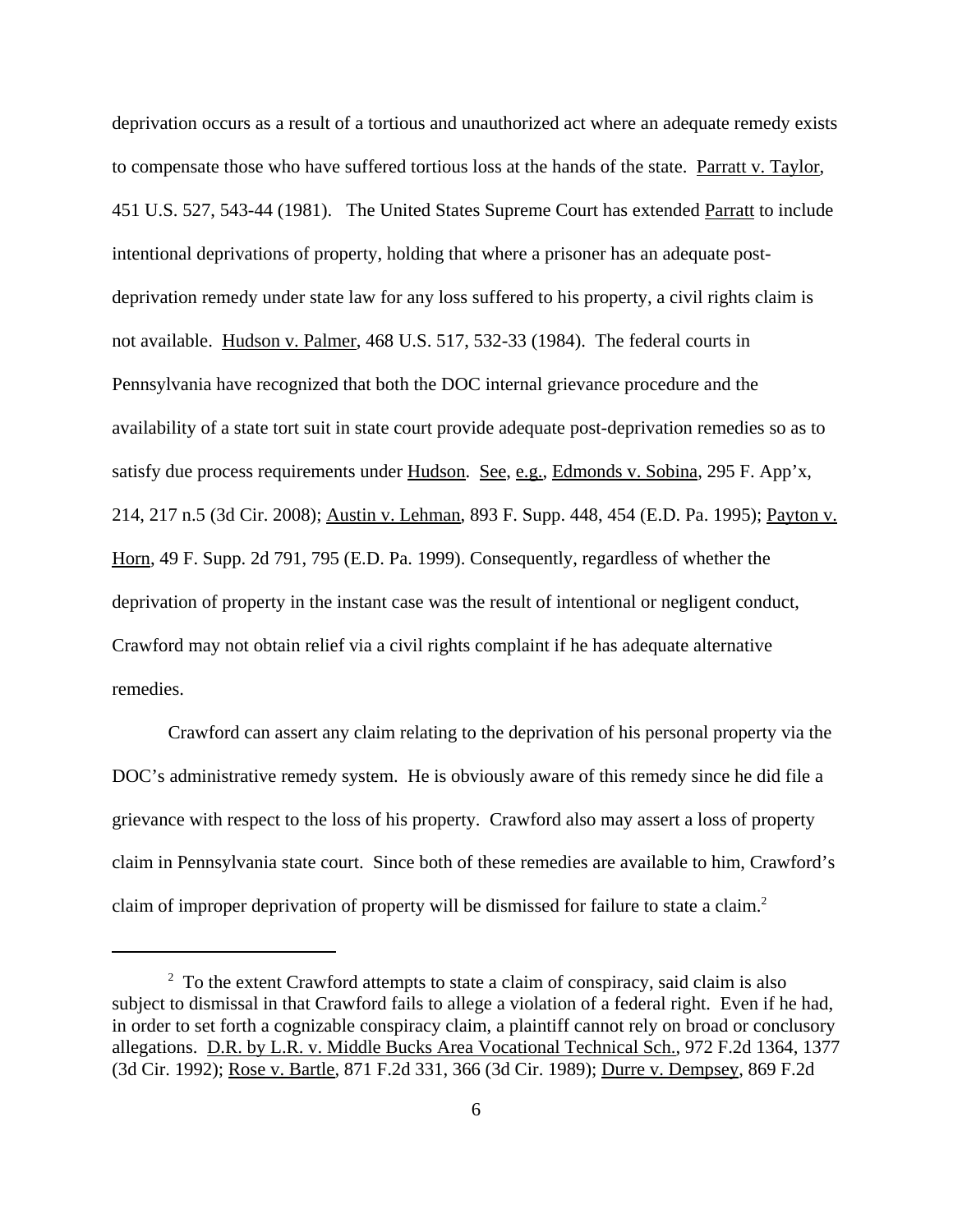deprivation occurs as a result of a tortious and unauthorized act where an adequate remedy exists to compensate those who have suffered tortious loss at the hands of the state. Parratt v. Taylor, 451 U.S. 527, 543-44 (1981). The United States Supreme Court has extended Parratt to include intentional deprivations of property, holding that where a prisoner has an adequate postdeprivation remedy under state law for any loss suffered to his property, a civil rights claim is not available. Hudson v. Palmer, 468 U.S. 517, 532-33 (1984). The federal courts in Pennsylvania have recognized that both the DOC internal grievance procedure and the availability of a state tort suit in state court provide adequate post-deprivation remedies so as to satisfy due process requirements under Hudson. See, e.g., Edmonds v. Sobina, 295 F. App'x, 214, 217 n.5 (3d Cir. 2008); Austin v. Lehman, 893 F. Supp. 448, 454 (E.D. Pa. 1995); Payton v. Horn, 49 F. Supp. 2d 791, 795 (E.D. Pa. 1999). Consequently, regardless of whether the deprivation of property in the instant case was the result of intentional or negligent conduct, Crawford may not obtain relief via a civil rights complaint if he has adequate alternative remedies.

Crawford can assert any claim relating to the deprivation of his personal property via the DOC's administrative remedy system. He is obviously aware of this remedy since he did file a grievance with respect to the loss of his property. Crawford also may assert a loss of property claim in Pennsylvania state court. Since both of these remedies are available to him, Crawford's claim of improper deprivation of property will be dismissed for failure to state a claim.<sup>2</sup>

<sup>&</sup>lt;sup>2</sup> To the extent Crawford attempts to state a claim of conspiracy, said claim is also subject to dismissal in that Crawford fails to allege a violation of a federal right. Even if he had, in order to set forth a cognizable conspiracy claim, a plaintiff cannot rely on broad or conclusory allegations. D.R. by L.R. v. Middle Bucks Area Vocational Technical Sch., 972 F.2d 1364, 1377 (3d Cir. 1992); Rose v. Bartle, 871 F.2d 331, 366 (3d Cir. 1989); Durre v. Dempsey, 869 F.2d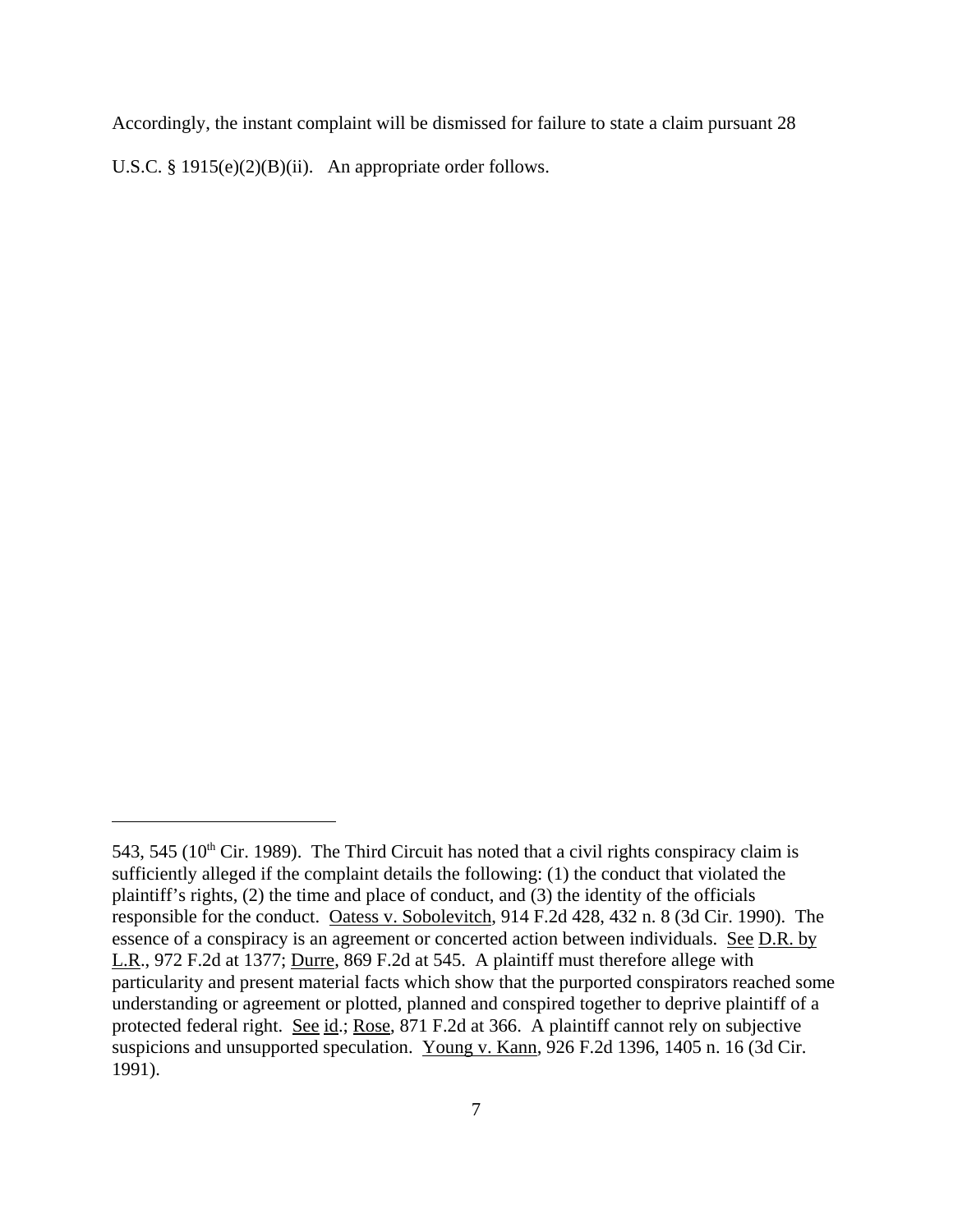Accordingly, the instant complaint will be dismissed for failure to state a claim pursuant 28 U.S.C. §  $1915(e)(2)(B)(ii)$ . An appropriate order follows.

<sup>543, 545 (</sup> $10<sup>th</sup>$  Cir. 1989). The Third Circuit has noted that a civil rights conspiracy claim is sufficiently alleged if the complaint details the following: (1) the conduct that violated the plaintiff's rights, (2) the time and place of conduct, and (3) the identity of the officials responsible for the conduct. Oatess v. Sobolevitch, 914 F.2d 428, 432 n. 8 (3d Cir. 1990). The essence of a conspiracy is an agreement or concerted action between individuals. See D.R. by L.R., 972 F.2d at 1377; Durre, 869 F.2d at 545. A plaintiff must therefore allege with particularity and present material facts which show that the purported conspirators reached some understanding or agreement or plotted, planned and conspired together to deprive plaintiff of a protected federal right. See id.; Rose, 871 F.2d at 366. A plaintiff cannot rely on subjective suspicions and unsupported speculation. Young v. Kann, 926 F.2d 1396, 1405 n. 16 (3d Cir. 1991).